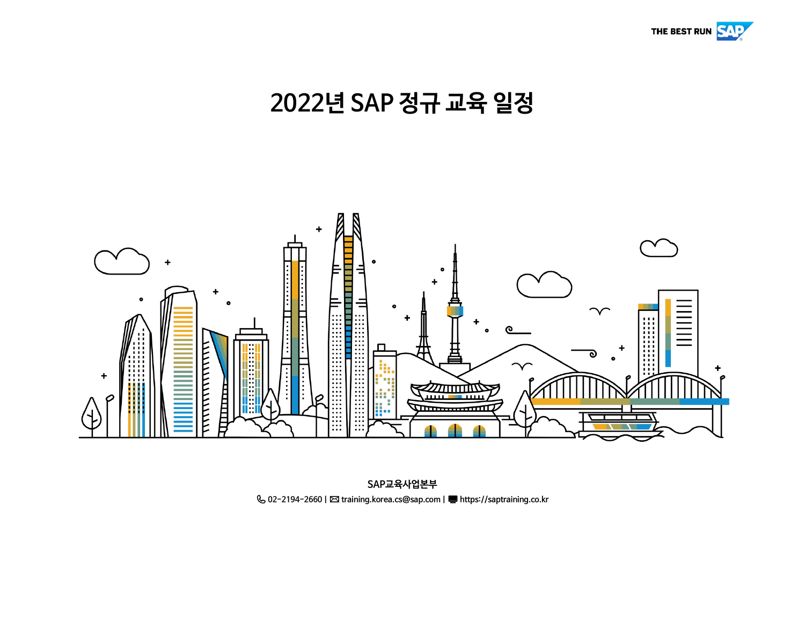

# **2022년 SAP 정규 교육 일정**



**02-2194-2660 |** ✉**training.korea.cs@sap.com | https://saptraining.co.kr SAP교육사업본부**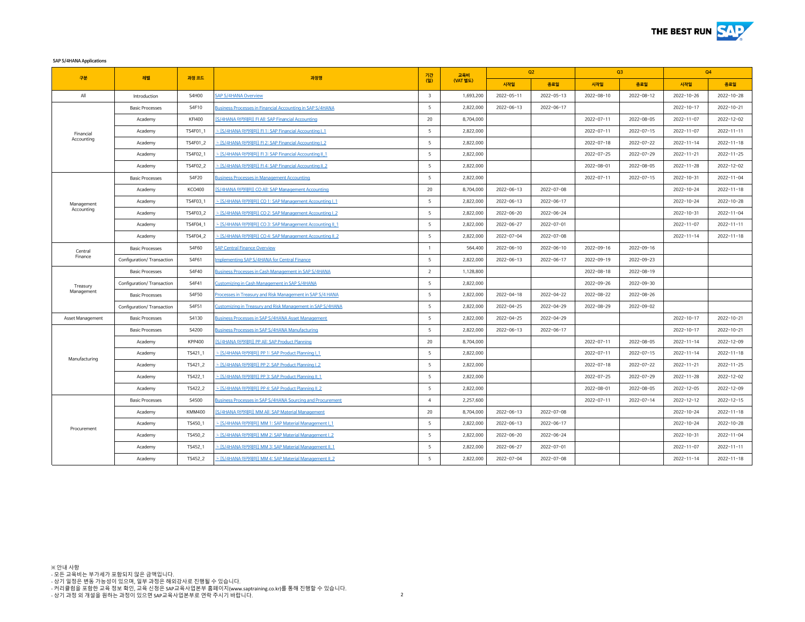

**SAP S/4HANA Applications**

|                    |                            |               | 과정명                                                         | 기간                      | 교육비       | Q2               |                  | Q3         |            | Q4               |                  |
|--------------------|----------------------------|---------------|-------------------------------------------------------------|-------------------------|-----------|------------------|------------------|------------|------------|------------------|------------------|
| 구분                 | 레벨                         | 과정 코드         |                                                             | (일)                     | (VAT 별도)  | 시작일              | 종료일              | 시작일        | 종료일        | 시작일              | 종료일              |
| All                | Introduction               | S4H00         | <b>SAP S/4HANA Overview</b>                                 | $\overline{\mathbf{3}}$ | 1,693,200 | $2022 - 05 - 11$ | $2022 - 05 - 13$ | 2022-08-10 | 2022-08-12 | $2022 - 10 - 26$ | $2022 - 10 - 28$ |
|                    | <b>Basic Processes</b>     | S4F10         | Business Processes in Financial Accounting in SAP S/4HANA   | 5                       | 2,822,000 | $2022 - 06 - 13$ | 2022-06-17       |            |            | $2022 - 10 - 17$ | $2022 - 10 - 21$ |
|                    | Academy                    | <b>KFI400</b> | [S/4HANA 아카데미] FI All: SAP Financial Accounting             | 20                      | 8,704,000 |                  |                  | 2022-07-11 | 2022-08-05 | $2022 - 11 - 07$ | 2022-12-02       |
| Financial          | Academy                    | TS4F01_1      | - [S/4HANA 아카데미] FI 1: SAP Financial Accounting I 1         | 5                       | 2,822,000 |                  |                  | 2022-07-11 | 2022-07-15 | $2022 - 11 - 07$ | $2022 - 11 - 11$ |
| Accounting         | Academy                    | TS4F01_2      | - [S/4HANA 아카데미] FI 2: SAP Financial Accounting I 2         | 5                       | 2,822,000 |                  |                  | 2022-07-18 | 2022-07-22 | $2022 - 11 - 14$ | $2022 - 11 - 18$ |
|                    | Academy                    | TS4F02 1      | - [S/4HANA 아카데미] FL3: SAP Financial Accounting IL1          | 5                       | 2,822,000 |                  |                  | 2022-07-25 | 2022-07-29 | $2022 - 11 - 21$ | $2022 - 11 - 25$ |
|                    | Academy                    | TS4F02_2      | - [S/4HANA 아카데미] FI 4: SAP Financial Accounting II 2        | 5                       | 2,822,000 |                  |                  | 2022-08-01 | 2022-08-05 | $2022 - 11 - 28$ | 2022-12-02       |
|                    | <b>Basic Processes</b>     | S4F20         | <b>Business Processes in Management Accounting</b>          | 5                       | 2,822,000 |                  |                  | 2022-07-11 | 2022-07-15 | 2022-10-31       | $2022 - 11 - 04$ |
|                    | Academy                    | <b>KCO400</b> | [S/4HANA 아카데미] CO All: SAP Management Accounting            | 20                      | 8,704,000 | $2022 - 06 - 13$ | $2022 - 07 - 08$ |            |            | 2022-10-24       | $2022 - 11 - 18$ |
| Management         | Academy                    | TS4F03 1      | - [S/4HANA 아카데미] CO 1: SAP Management Accounting L1         | 5                       | 2,822,000 | $2022 - 06 - 13$ | $2022 - 06 - 17$ |            |            | 2022-10-24       | $2022 - 10 - 28$ |
| Accounting         | Academy                    | TS4F03 2      | - [S/4HANA 아카데미] CO 2: SAP Management Accounting I 2        | 5                       | 2,822,000 | 2022-06-20       | 2022-06-24       |            |            | 2022-10-31       | $2022 - 11 - 04$ |
|                    | Academy                    | TS4F04_1      | - [S/4HANA 아카데미] CO 3: SAP Management Accounting II 1       | 5                       | 2,822,000 | 2022-06-27       | 2022-07-01       |            |            | $2022 - 11 - 07$ | $2022 - 11 - 11$ |
|                    | Academy                    | TS4F04 2      | - [S/4HANA 아카데미] CO 4: SAP Management Accounting II 2       | 5                       | 2,822,000 | 2022-07-04       | 2022-07-08       |            |            | $2022 - 11 - 14$ | $2022 - 11 - 18$ |
| Central<br>Finance | <b>Basic Processes</b>     | S4F60         | <b>SAP Central Finance Overview</b>                         | $\overline{1}$          | 564,400   | $2022 - 06 - 10$ | $2022 - 06 - 10$ | 2022-09-16 | 2022-09-16 |                  |                  |
|                    | Configuration/ Transaction | S4F61         | mplementing SAP S/4HANA for Central Finance                 | 5                       | 2,822,000 | $2022 - 06 - 13$ | 2022-06-17       | 2022-09-19 | 2022-09-23 |                  |                  |
|                    | <b>Basic Processes</b>     | S4F40         | <b>Business Processes in Cash Management in SAP S/4HANA</b> | $\overline{2}$          | 1,128,800 |                  |                  | 2022-08-18 | 2022-08-19 |                  |                  |
| Treasury           | Configuration/ Transaction | S4F41         | Customizing in Cash Management in SAP S/4HANA               | 5                       | 2,822,000 |                  |                  | 2022-09-26 | 2022-09-30 |                  |                  |
| Management         | <b>Basic Processes</b>     | S4F50         | Processes in Treasury and Risk Management in SAP S/4 HANA   | 5                       | 2,822,000 | $2022 - 04 - 18$ | 2022-04-22       | 2022-08-22 | 2022-08-26 |                  |                  |
|                    | Configuration/ Transaction | S4F51         | Customizing in Treasury and Risk Management in SAP S/4HANA  | 5                       | 2,822,000 | $2022 - 04 - 25$ | $2022 - 04 - 29$ | 2022-08-29 | 2022-09-02 |                  |                  |
| Asset Management   | <b>Basic Processes</b>     | S4130         | Business Processes in SAP S/4HANA Asset Management          | 5                       | 2,822,000 | $2022 - 04 - 25$ | 2022-04-29       |            |            | $2022 - 10 - 17$ | $2022 - 10 - 21$ |
|                    | <b>Basic Processes</b>     | S4200         | Business Processes in SAP S/4HANA Manufacturing             | 5                       | 2,822,000 | $2022 - 06 - 13$ | $2022 - 06 - 17$ |            |            | $2022 - 10 - 17$ | $2022 - 10 - 21$ |
|                    | Academy                    | <b>KPP400</b> | [S/4HANA 아카데미] PP All: SAP Product Planning                 | 20                      | 8,704,000 |                  |                  | 2022-07-11 | 2022-08-05 | $2022 - 11 - 14$ | 2022-12-09       |
|                    | Academy                    | TS421_1       | - [S/4HANA 아카데미] PP 1: SAP Product Planning I 1             | 5                       | 2,822,000 |                  |                  | 2022-07-11 | 2022-07-15 | $2022 - 11 - 14$ | $2022 - 11 - 18$ |
| Manufacturing      | Academy                    | TS421_2       | - [S/4HANA 아카데미] PP 2: SAP Product Planning I 2             | 5                       | 2,822,000 |                  |                  | 2022-07-18 | 2022-07-22 | $2022 - 11 - 21$ | $2022 - 11 - 25$ |
|                    | Academy                    | TS422 1       | - [S/4HANA 아카데미] PP 3: SAP Product Planning II 1            | 5                       | 2,822,000 |                  |                  | 2022-07-25 | 2022-07-29 | $2022 - 11 - 28$ | 2022-12-02       |
|                    | Academy                    | TS422_2       | - [S/4HANA 아카데미] PP 4: SAP Product Planning II 2            | 5                       | 2,822,000 |                  |                  | 2022-08-01 | 2022-08-05 | 2022-12-05       | $2022 - 12 - 09$ |
|                    | <b>Basic Processes</b>     | S4500         | Business Processes in SAP S/4HANA Sourcing and Procurement  | $\overline{4}$          | 2,257,600 |                  |                  | 2022-07-11 | 2022-07-14 | $2022 - 12 - 12$ | $2022 - 12 - 15$ |
|                    | Academy                    | <b>KMM400</b> | S/4HANA 아카데미 MM All: SAP Material Management                | 20                      | 8,704,000 | $2022 - 06 - 13$ | 2022-07-08       |            |            | 2022-10-24       | $2022 - 11 - 18$ |
|                    | Academy                    | TS450 1       | - [S/4HANA 아카데미] MM 1: SAP Material Management   1          | 5                       | 2,822,000 | $2022 - 06 - 13$ | 2022-06-17       |            |            | 2022-10-24       | $2022 - 10 - 28$ |
| Procurement        | Academy                    | TS450 2       | - [S/4HANA 아카데미] MM 2: SAP Material Management   2          | 5                       | 2,822,000 | 2022-06-20       | 2022-06-24       |            |            | 2022-10-31       | $2022 - 11 - 04$ |
|                    | Academy                    | TS452 1       | - IS/4HANA 아카데미 MM 3: SAP Material Management II 1          | 5                       | 2,822,000 | 2022-06-27       | 2022-07-01       |            |            | $2022 - 11 - 07$ | $2022 - 11 - 11$ |
|                    | Academy                    | TS452_2       | - IS/4HANA 아카데미 MM 4: SAP Material Management IL 2          | 5                       | 2,822,000 | 2022-07-04       | 2022-07-08       |            |            | $2022 - 11 - 14$ | $2022 - 11 - 18$ |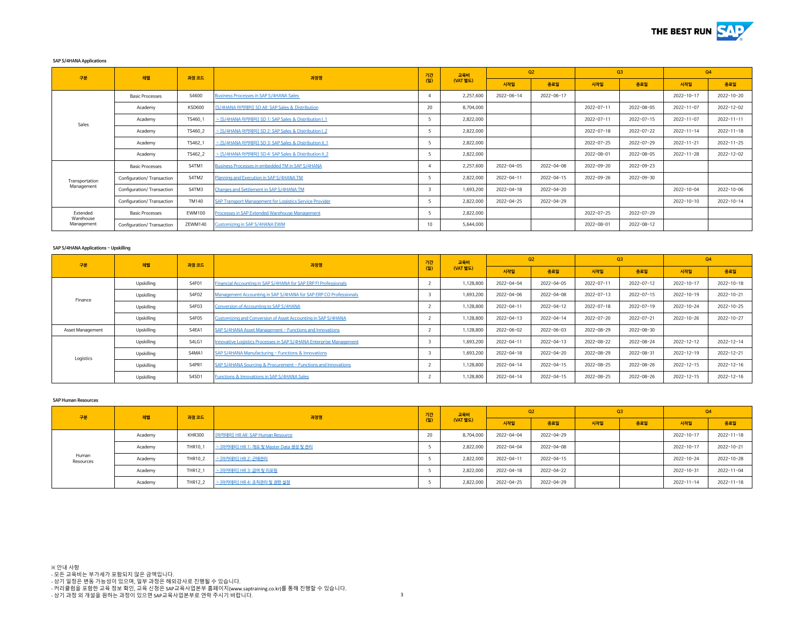

## **SAP S/4HANA Applications**

| 구분                    | 레벨                         | 과정 코드         | 과정명                                                     | 기간  | 교육비<br>(VAT 별도) | Q <sub>2</sub>   |            | O <sub>3</sub> |            | Q4               |                  |
|-----------------------|----------------------------|---------------|---------------------------------------------------------|-----|-----------------|------------------|------------|----------------|------------|------------------|------------------|
|                       |                            |               |                                                         | (일) |                 | 시작일              | 종료일        | 시작일            | 종료일        | 시작일              | 종료일              |
|                       | <b>Basic Processes</b>     | S4600         | <b>Business Processes in SAP S/4HANA Sales</b>          | 4   | 2,257,600       | 2022-06-14       | 2022-06-17 |                |            | 2022-10-17       | 2022-10-20       |
| Sales                 | Academy                    | <b>KSD600</b> | [S/4HANA 아카데미] SD All: SAP Sales & Distribution         | 20  | 8,704,000       |                  |            | 2022-07-11     | 2022-08-05 | $2022 - 11 - 07$ | 2022-12-02       |
|                       | Academy                    | TS460         | └ [S/4HANA 아카데미] SD 1: SAP Sales & Distribution I 1     |     | 2,822,000       |                  |            | 2022-07-11     | 2022-07-15 | $2022 - 11 - 07$ | $2022 - 11 - 11$ |
|                       | Academy                    | TS460_2       | └ [S/4HANA 아카데미] SD 2: SAP Sales & Distribution I 2     | 5   | 2,822,000       |                  |            | 2022-07-18     | 2022-07-22 | $2022 - 11 - 14$ | $2022 - 11 - 18$ |
|                       | Academy                    | TS462 1       | └ [S/4HANA 아카데미] SD 3: SAP Sales & Distribution II 1    |     | 2,822,000       |                  |            | 2022-07-25     | 2022-07-29 | $2022 - 11 - 21$ | $2022 - 11 - 25$ |
|                       | Academy                    | TS462_2       | └ [S/4HANA 아카데미] SD 4: SAP Sales & Distribution II 2    | 5   | 2,822,000       |                  |            | 2022-08-01     | 2022-08-05 | $2022 - 11 - 28$ | 2022-12-02       |
|                       | <b>Basic Processes</b>     | S4TM1         | Business Processes in embedded TM in SAP S/4HANA        | 4   | 2,257,600       | 2022-04-05       | 2022-04-08 | 2022-09-20     | 2022-09-23 |                  |                  |
| Transportation        | Configuration/ Transaction | S4TM2         | Planning and Execution in SAP S/4HANA TM                |     | 2,822,000       | 2022-04-11       | 2022-04-15 | 2022-09-26     | 2022-09-30 |                  |                  |
| Management            | Configuration/ Transaction | S4TM3         | Charges and Settlement in SAP S/4HANA TM                | 3   | 1,693,200       | $2022 - 04 - 18$ | 2022-04-20 |                |            | 2022-10-04       | $2022 - 10 - 06$ |
|                       | Configuration/ Transaction | TM140         | SAP Transport Management for Logistics Service Provider |     | 2,822,000       | 2022-04-25       | 2022-04-29 |                |            | 2022-10-10       | 2022-10-14       |
| Extended<br>Warehouse | <b>Basic Processes</b>     | EWM100        | Processes in SAP Extended Warehouse Management          |     | 2,822,000       |                  |            | 2022-07-25     | 2022-07-29 |                  |                  |
| Management            | Configuration/ Transaction | ZEWM140       | Customizing in SAP S/4HANA EWM                          | 10  | 5,644,000       |                  |            | 2022-08-01     | 2022-08-12 |                  |                  |

#### **SAP S/4HANA Applications - Upskilling**

| 구분               | 레벨         | 과정 코드 | 과정명                                                                | 기간             | 교육비<br>(VAT 별도) | Q <sub>2</sub>   |                  | O <sub>3</sub>   |                  | 04               |                  |
|------------------|------------|-------|--------------------------------------------------------------------|----------------|-----------------|------------------|------------------|------------------|------------------|------------------|------------------|
|                  |            |       |                                                                    | $\overline{2}$ |                 | 시작일              | 종료일              | 시작일              | 종료일              | 시작일              | 종료일              |
| Finance          | Upskilling | S4F01 | Financial Accounting in SAP S/4HANA for SAP ERP FI Professionals   |                | 1,128,800       | $2022 - 04 - 04$ | $2022 - 04 - 05$ | $2022 - 07 - 11$ | $2022 - 07 - 12$ | $2022 - 10 - 17$ | $2022 - 10 - 18$ |
|                  | Upskilling | S4F02 | Management Accounting in SAP S/4HANA for SAP ERP CO Professionals  |                | 1,693,200       | 2022-04-06       | $2022 - 04 - 08$ | $2022 - 07 - 13$ | $2022 - 07 - 15$ | $2022 - 10 - 19$ | 2022-10-21       |
|                  | Upskilling | S4F03 | <b>Conversion of Accounting to SAP S/4HANA</b>                     |                | 1,128,800       | 2022-04-11       | $2022 - 04 - 12$ | $2022 - 07 - 18$ | $2022 - 07 - 19$ | 2022-10-24       | 2022-10-25       |
|                  | Upskilling | S4F05 | Customizing and Conversion of Asset Accounting in SAP S/4HANA      |                | 1,128,800       | 2022-04-13       | 2022-04-14       | 2022-07-20       | 2022-07-21       | $2022 - 10 - 26$ | 2022-10-27       |
| Asset Management | Upskilling | S4EA1 | SAP S/4HANA Asset Management - Functions and Innovations           |                | 1,128,800       | 2022-06-02       | $2022 - 06 - 03$ | $2022 - 08 - 29$ | 2022-08-30       |                  |                  |
|                  | Upskilling | S4LG1 | nnovative Logistics Processes in SAP S/4HANA Enterprise Management |                | 1,693,200       | 2022-04-11       | 2022-04-13       | 2022-08-22       | 2022-08-24       | $2022 - 12 - 12$ | 2022-12-14       |
| Logistics        | Upskilling | S4MA1 | SAP S/4HANA Manufacturing - Functions & Innovations                |                | 1,693,200       | 2022-04-18       | $2022 - 04 - 20$ | 2022-08-29       | 2022-08-31       | $2022 - 12 - 19$ | $2022 - 12 - 21$ |
|                  | Upskilling | S4PR1 | SAP S/4HANA Sourcing & Procurement - Functions and Innovations     |                | 1,128,800       | $2022 - 04 - 14$ | $2022 - 04 - 15$ | 2022-08-25       | 2022-08-26       | $2022 - 12 - 15$ | $2022 - 12 - 16$ |
|                  | Upskilling | S4SD1 | Functions & Innovations in SAP S/4HANA Sales                       |                | 1,128,800       | 2022-04-14       | 2022-04-15       | 2022-08-25       | 2022-08-26       | $2022 - 12 - 15$ | $2022 - 12 - 16$ |

#### **SAP Human Resources**

| 구분                 | 레벨      | 과정 코드          | 과정명                                     | 기간  | 교육비<br>(VAT 별도) | Q <sub>2</sub>   |            | Q3  |     | Q4               |                  |
|--------------------|---------|----------------|-----------------------------------------|-----|-----------------|------------------|------------|-----|-----|------------------|------------------|
|                    |         |                |                                         | (일) |                 | 시작일              | 종료일        | 시작일 | 종료일 | 시작일              | 종료일              |
|                    | Academy | <b>KHR300</b>  | [아카데미] HR All: SAP Human Resource       | 20  | 8,704,000       | 2022-04-04       | 2022-04-29 |     |     | 2022-10-17       | $2022 - 11 - 18$ |
|                    | Academy | THR10 1        | └ [아카데미] HR 1: 개요 및 Master Data 생성 및 관리 |     | 2,822,000       | 2022-04-04       | 2022-04-08 |     |     | 2022-10-17       | 2022-10-21       |
| Human<br>Resources | Academy | <b>THR10 2</b> | <u> └ [아카데미] HR 2: 근태관리</u>             |     | 2,822,000       | $2022 - 04 - 11$ | 2022-04-15 |     |     | 2022-10-24       | 2022-10-28       |
|                    | Academy | THR12 1        | └ [아카데미] HR 3: 급여 및 리포팅                 |     | 2,822,000       | 2022-04-18       | 2022-04-22 |     |     | 2022-10-31       | 2022-11-04       |
|                    | Academy | <b>THR12 2</b> | └ [아카데미] HR 4: 조직관리 및 권한 설정             |     | 2,822,000       | 2022-04-25       | 2022-04-29 |     |     | $2022 - 11 - 14$ | 2022-11-18       |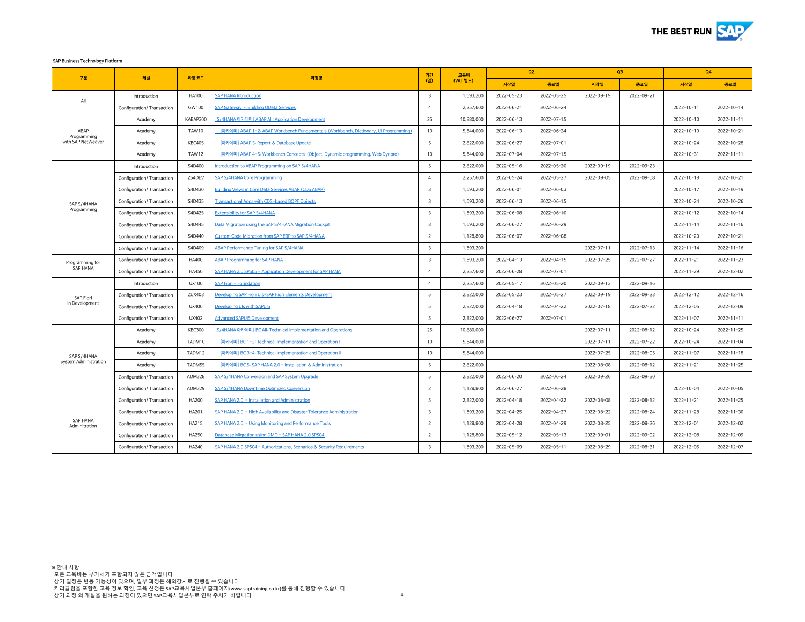

**SAP Business Technology Platform**

| 구분                                        | 레벨                         | 과정 코드         | 과정명                                                                                    | 기간                      | 교육비        | Q2               |                  | Q3               |                  | Q4               |                  |
|-------------------------------------------|----------------------------|---------------|----------------------------------------------------------------------------------------|-------------------------|------------|------------------|------------------|------------------|------------------|------------------|------------------|
|                                           |                            |               |                                                                                        | (일)                     | (VAT 별도)   | 시작일              | 종료일              | 시작일              | 종료일              | 시작일              | 종료일              |
| All                                       | Introduction               | <b>HA100</b>  | <b>SAP HANA Introduction</b>                                                           | $\overline{3}$          | 1,693,200  | 2022-05-23       | 2022-05-25       | 2022-09-19       | 2022-09-21       |                  |                  |
|                                           | Configuration/ Transaction | GW100         | <b>SAP Gateway - Building OData Services</b>                                           | $\overline{4}$          | 2,257,600  | 2022-06-21       | 2022-06-24       |                  |                  | $2022 - 10 - 11$ | 2022-10-14       |
|                                           | Academy                    | KABAP300      | [S/4HANA 아카데미] ABAP All: Application Development                                       | 25                      | 10,880,000 | $2022 - 06 - 13$ | 2022-07-15       |                  |                  | 2022-10-10       | $2022 - 11 - 11$ |
| ABAP<br>Programming<br>with SAP NetWeaver | Academy                    | TAW10         | - [아카데미] ABAP 1-2: ABAP Workbench Fundamentals (Workbench, Dictionary, UI Programming) | 10                      | 5,644,000  | $2022 - 06 - 13$ | 2022-06-24       |                  |                  | 2022-10-10       | 2022-10-21       |
|                                           | Academy                    | <b>KBC405</b> | - [아카데미] ABAP 3: Report & Database Update                                              | 5                       | 2,822,000  | 2022-06-27       | 2022-07-01       |                  |                  | 2022-10-24       | 2022-10-28       |
|                                           | Academy                    | TAW12         | - [아카데미] ABAP 4-5: Workbench Concepts (Object, Dynamic programming, Web Dynpro)        | 10                      | 5,644,000  | 2022-07-04       | 2022-07-15       |                  |                  | 2022-10-31       | $2022 - 11 - 11$ |
|                                           | Introduction               | S4D400        | ntroduction to ABAP Programming on SAP S/4HANA                                         | 5                       | 2,822,000  | $2022 - 05 - 16$ | $2022 - 05 - 20$ | 2022-09-19       | 2022-09-23       |                  |                  |
|                                           | Configuration/ Transaction | ZS4DEV        | <b>SAP S/4HANA Core Programming</b>                                                    | $\overline{4}$          | 2,257,600  | 2022-05-24       | 2022-05-27       | 2022-09-05       | 2022-09-08       | 2022-10-18       | 2022-10-21       |
|                                           | Configuration/ Transaction | S4D430        | <b>Building Views in Core Data Services ABAP (CDS ABAP)</b>                            | $\overline{\mathbf{3}}$ | 1,693,200  | 2022-06-01       | 2022-06-03       |                  |                  | 2022-10-17       | $2022 - 10 - 19$ |
| SAP S/4HANA                               | Configuration/ Transaction | S4D435        | <b>Fransactional Apps with CDS-based BOPF Objects</b>                                  | $\overline{\mathbf{3}}$ | 1,693,200  | $2022 - 06 - 13$ | $2022 - 06 - 15$ |                  |                  | 2022-10-24       | 2022-10-26       |
| Programming                               | Configuration/ Transaction | S4D425        | <b>Extensibility for SAP S/4HANA</b>                                                   | $\overline{\mathbf{3}}$ | 1,693,200  | 2022-06-08       | 2022-06-10       |                  |                  | 2022-10-12       | 2022-10-14       |
|                                           | Configuration/ Transaction | S4D445        | Data Migration using the SAP S/4HANA Migration Cockpit                                 | $\overline{\mathbf{3}}$ | 1,693,200  | 2022-06-27       | $2022 - 06 - 29$ |                  |                  | $2022 - 11 - 14$ | $2022 - 11 - 16$ |
|                                           | Configuration/ Transaction | S4D440        | Custom Code Migration from SAP ERP to SAP S/4HANA                                      | $\overline{2}$          | 1,128,800  | 2022-06-07       | 2022-06-08       |                  |                  | 2022-10-20       | 2022-10-21       |
|                                           | Configuration/ Transaction | S4D409        | <b>ABAP Performance Tuning for SAP S/4HANA</b>                                         | $\overline{\mathbf{3}}$ | 1,693,200  |                  |                  | 2022-07-11       | $2022 - 07 - 13$ | $2022 - 11 - 14$ | $2022 - 11 - 16$ |
| Programming for                           | Configuration/ Transaction | <b>HA400</b>  | <b>ABAP Programming for SAP HANA</b>                                                   | 3                       | 1,693,200  | 2022-04-13       | 2022-04-15       | 2022-07-25       | 2022-07-27       | 2022-11-21       | $2022 - 11 - 23$ |
| SAP HANA                                  | Configuration/ Transaction | <b>HA450</b>  | AP HANA 2.0 SPS05 - Application Development for SAP HANA                               | $\overline{a}$          | 2,257,600  | 2022-06-28       | 2022-07-01       |                  |                  | 2022-11-29       | 2022-12-02       |
|                                           | Introduction               | UX100         | <b>SAP Fiori - Foundation</b>                                                          | $\overline{4}$          | 2,257,600  | 2022-05-17       | 2022-05-20       | 2022-09-13       | 2022-09-16       |                  |                  |
| SAP Fiori                                 | Configuration/ Transaction | ZUX403        | Developing SAP Fiori Uis+SAP Fiori Elements Development                                | 5                       | 2,822,000  | $2022 - 05 - 23$ | $2022 - 05 - 27$ | 2022-09-19       | 2022-09-23       | 2022-12-12       | $2022 - 12 - 16$ |
| in Development                            | Configuration/ Transaction | UX400         | Developing UIs with SAPUI5                                                             | 5                       | 2,822,000  | $2022 - 04 - 18$ | 2022-04-22       | $2022 - 07 - 18$ | 2022-07-22       | 2022-12-05       | 2022-12-09       |
|                                           | Configuration/ Transaction | UX402         | <b>Advanced SAPUI5 Development</b>                                                     | 5                       | 2,822,000  | 2022-06-27       | 2022-07-01       |                  |                  | 2022-11-07       | $2022 - 11 - 11$ |
|                                           | Academy                    | <b>KBC300</b> | S/4HANA 아카데미 BC All: Technical Implementation and Operations                           | 25                      | 10,880,000 |                  |                  | 2022-07-11       | $2022 - 08 - 12$ | 2022-10-24       | $2022 - 11 - 25$ |
|                                           | Academy                    | TADM10        | - [아카데미] BC 1-2: Technical Implementation and Operation I                              | 10                      | 5,644,000  |                  |                  | 2022-07-11       | 2022-07-22       | 2022-10-24       | $2022 - 11 - 04$ |
| SAP S/4HANA                               | Academy                    | TADM12        | - [아카데미] BC 3-4: Technical Implementation and Operation II                             | 10                      | 5,644,000  |                  |                  | 2022-07-25       | $2022 - 08 - 05$ | $2022 - 11 - 07$ | $2022 - 11 - 18$ |
| System Administration                     | Academy                    | TADM55        | - [아카데미] BC 5: SAP HANA 2.0 - Installation & Administration                            | 5                       | 2,822,000  |                  |                  | 2022-08-08       | 2022-08-12       | $2022 - 11 - 21$ | $2022 - 11 - 25$ |
|                                           | Configuration/ Transaction | <b>ADM328</b> | SAP S/4HANA Conversion and SAP System Upgrade                                          | 5                       | 2,822,000  | 2022-06-20       | 2022-06-24       | 2022-09-26       | 2022-09-30       |                  |                  |
|                                           | Configuration/ Transaction | ADM329        | SAP S/4HANA Downtime Optimized Conversion                                              | $\overline{2}$          | 1,128,800  | 2022-06-27       | 2022-06-28       |                  |                  | 2022-10-04       | $2022 - 10 - 05$ |
|                                           | Configuration/ Transaction | <b>HA200</b>  | SAP HANA 2.0 - Installation and Administration                                         | 5                       | 2,822,000  | $2022 - 04 - 18$ | 2022-04-22       | 2022-08-08       | $2022 - 08 - 12$ | $2022 - 11 - 21$ | $2022 - 11 - 25$ |
|                                           | Configuration/ Transaction | HA201         | SAP HANA 2.0 - High Availability and Disaster Tolerance Administration                 | $\overline{\mathbf{3}}$ | 1,693,200  | 2022-04-25       | 2022-04-27       | 2022-08-22       | 2022-08-24       | $2022 - 11 - 28$ | $2022 - 11 - 30$ |
| SAP HANA<br>Adminitration                 | Configuration/ Transaction | HA215         | AP HANA 2.0 - Using Monitoring and Performance Tools                                   | 2                       | 1,128,800  | 2022-04-28       | 2022-04-29       | 2022-08-25       | 2022-08-26       | 2022-12-01       | 2022-12-02       |
|                                           | Configuration/Transaction  | <b>HA250</b>  | Database Migration using DMO - SAP HANA 2.0 SPS04                                      | $\overline{2}$          | 1,128,800  | $2022 - 05 - 12$ | $2022 - 05 - 13$ | 2022-09-01       | 2022-09-02       | 2022-12-08       | 2022-12-09       |
|                                           | Configuration/Transaction  | HA240         | SAP HANA 2.0 SPS04 - Authorizations, Scenarios & Security Requirements                 | $\overline{3}$          | 1,693,200  | 2022-05-09       | $2022 - 05 - 11$ | 2022-08-29       | 2022-08-31       | $2022 - 12 - 05$ | $2022 - 12 - 07$ |

4